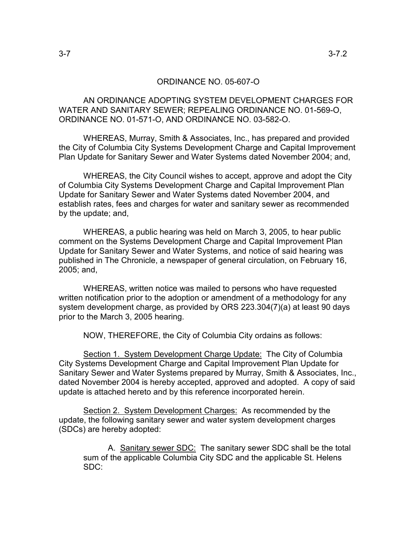## ORDINANCE NO. 05-607-O

 AN ORDINANCE ADOPTING SYSTEM DEVELOPMENT CHARGES FOR WATER AND SANITARY SEWER; REPEALING ORDINANCE NO. 01-569-O, ORDINANCE NO. 01-571-O, AND ORDINANCE NO. 03-582-O.

 WHEREAS, Murray, Smith & Associates, Inc., has prepared and provided the City of Columbia City Systems Development Charge and Capital Improvement Plan Update for Sanitary Sewer and Water Systems dated November 2004; and,

 WHEREAS, the City Council wishes to accept, approve and adopt the City of Columbia City Systems Development Charge and Capital Improvement Plan Update for Sanitary Sewer and Water Systems dated November 2004, and establish rates, fees and charges for water and sanitary sewer as recommended by the update; and,

 WHEREAS, a public hearing was held on March 3, 2005, to hear public comment on the Systems Development Charge and Capital Improvement Plan Update for Sanitary Sewer and Water Systems, and notice of said hearing was published in The Chronicle, a newspaper of general circulation, on February 16, 2005; and,

 WHEREAS, written notice was mailed to persons who have requested written notification prior to the adoption or amendment of a methodology for any system development charge, as provided by ORS 223.304(7)(a) at least 90 days prior to the March 3, 2005 hearing.

NOW, THEREFORE, the City of Columbia City ordains as follows:

 Section 1. System Development Charge Update: The City of Columbia City Systems Development Charge and Capital Improvement Plan Update for Sanitary Sewer and Water Systems prepared by Murray, Smith & Associates, Inc., dated November 2004 is hereby accepted, approved and adopted. A copy of said update is attached hereto and by this reference incorporated herein.

 Section 2. System Development Charges: As recommended by the update, the following sanitary sewer and water system development charges (SDCs) are hereby adopted:

A. Sanitary sewer SDC: The sanitary sewer SDC shall be the total sum of the applicable Columbia City SDC and the applicable St. Helens SDC: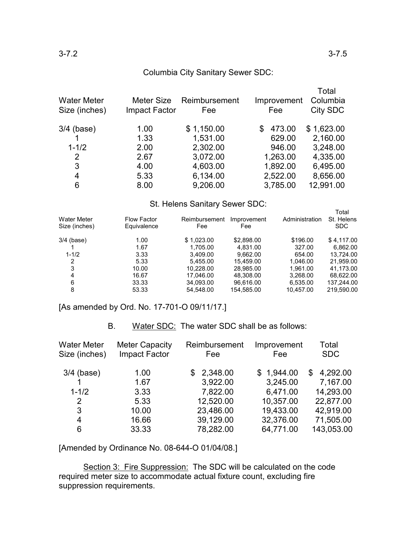## Columbia City Sanitary Sewer SDC:

| <b>Water Meter</b><br>Size (inches) | Meter Size<br>Impact Factor | Reimbursement<br>Fee | Improvement<br>Fee | Total<br>Columbia<br>City SDC |
|-------------------------------------|-----------------------------|----------------------|--------------------|-------------------------------|
| $3/4$ (base)                        | 1.00                        | \$1,150.00           | 473.00<br>\$       | \$1,623.00                    |
|                                     | 1.33                        | 1,531.00             | 629.00             | 2,160.00                      |
| $1 - 1/2$                           | 2.00                        | 2,302.00             | 946.00             | 3,248.00                      |
| $\overline{2}$                      | 2.67                        | 3,072.00             | 1,263.00           | 4,335.00                      |
| 3                                   | 4.00                        | 4,603.00             | 1,892.00           | 6,495.00                      |
| 4                                   | 5.33                        | 6,134.00             | 2,522.00           | 8,656.00                      |
| 6                                   | 8.00                        | 9,206.00             | 3,785.00           | 12,991.00                     |

## St. Helens Sanitary Sewer SDC:

| <b>Water Meter</b><br>Size (inches) | <b>Flow Factor</b><br>Equivalence | Reimbursement<br>Fee | Improvement<br>Fee | Administration | Total<br>St. Helens<br>SDC. |
|-------------------------------------|-----------------------------------|----------------------|--------------------|----------------|-----------------------------|
| $3/4$ (base)                        | 1.00                              | \$1.023.00           | \$2,898.00         | \$196.00       | \$4.117.00                  |
|                                     | 1.67                              | 1.705.00             | 4.831.00           | 327.00         | 6.862.00                    |
| $1 - 1/2$                           | 3.33                              | 3,409.00             | 9.662.00           | 654.00         | 13,724.00                   |
| 2                                   | 5.33                              | 5.455.00             | 15.459.00          | 1,046.00       | 21,959.00                   |
| 3                                   | 10.00                             | 10.228.00            | 28.985.00          | 1.961.00       | 41.173.00                   |
| 4                                   | 16.67                             | 17.046.00            | 48,308.00          | 3,268.00       | 68,622.00                   |
| 6                                   | 33.33                             | 34,093.00            | 96.616.00          | 6,535.00       | 137.244.00                  |
| 8                                   | 53.33                             | 54.548.00            | 154.585.00         | 10.457.00      | 219.590.00                  |

[As amended by Ord. No. 17-701-O 09/11/17.]

## B. Water SDC: The water SDC shall be as follows:

| <b>Water Meter</b><br>Size (inches) | <b>Meter Capacity</b><br>Impact Factor | Reimbursement<br>Fee | Improvement<br>Fee | Total<br><b>SDC</b> |
|-------------------------------------|----------------------------------------|----------------------|--------------------|---------------------|
|                                     |                                        |                      |                    |                     |
| $3/4$ (base)                        | 1.00                                   | 2,348.00<br>SS.      | \$1,944.00         | 4,292.00<br>\$      |
|                                     | 1.67                                   | 3,922.00             | 3,245.00           | 7,167.00            |
| $1 - 1/2$                           | 3.33                                   | 7,822.00             | 6,471.00           | 14,293.00           |
| 2                                   | 5.33                                   | 12,520.00            | 10,357.00          | 22,877.00           |
| 3                                   | 10.00                                  | 23,486.00            | 19,433.00          | 42,919.00           |
| $\overline{4}$                      | 16.66                                  | 39,129.00            | 32,376.00          | 71,505.00           |
| 6                                   | 33.33                                  | 78,282.00            | 64,771.00          | 143,053.00          |

[Amended by Ordinance No. 08-644-O 01/04/08.]

Section 3: Fire Suppression: The SDC will be calculated on the code required meter size to accommodate actual fixture count, excluding fire suppression requirements.